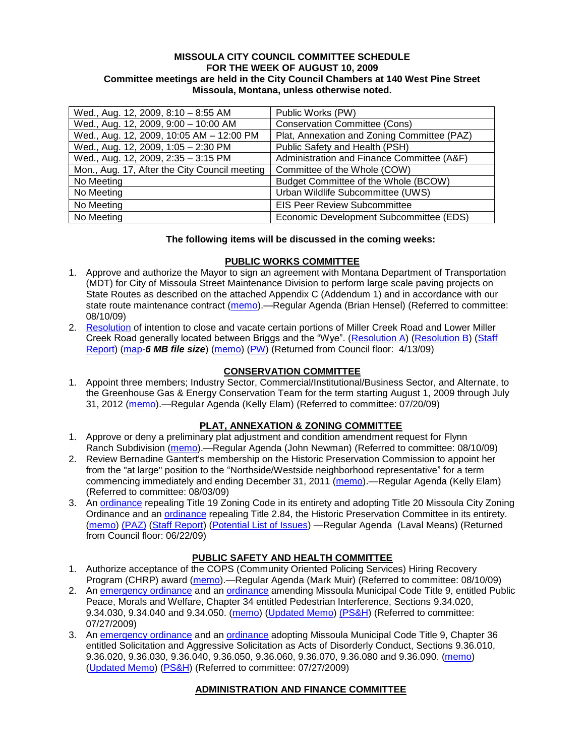#### **MISSOULA CITY COUNCIL COMMITTEE SCHEDULE FOR THE WEEK OF AUGUST 10, 2009 Committee meetings are held in the City Council Chambers at 140 West Pine Street Missoula, Montana, unless otherwise noted.**

| Wed., Aug. 12, 2009, 8:10 - 8:55 AM           | Public Works (PW)                           |
|-----------------------------------------------|---------------------------------------------|
| Wed., Aug. 12, 2009, 9:00 - 10:00 AM          | <b>Conservation Committee (Cons)</b>        |
| Wed., Aug. 12, 2009, 10:05 AM - 12:00 PM      | Plat, Annexation and Zoning Committee (PAZ) |
| Wed., Aug. 12, 2009, 1:05 - 2:30 PM           | Public Safety and Health (PSH)              |
| Wed., Aug. 12, 2009, 2:35 - 3:15 PM           | Administration and Finance Committee (A&F)  |
| Mon., Aug. 17, After the City Council meeting | Committee of the Whole (COW)                |
| No Meeting                                    | Budget Committee of the Whole (BCOW)        |
| No Meeting                                    | Urban Wildlife Subcommittee (UWS)           |
| No Meeting                                    | <b>EIS Peer Review Subcommittee</b>         |
| No Meeting                                    | Economic Development Subcommittee (EDS)     |

### **The following items will be discussed in the coming weeks:**

### **PUBLIC WORKS COMMITTEE**

- 1. Approve and authorize the Mayor to sign an agreement with Montana Department of Transportation (MDT) for City of Missoula Street Maintenance Division to perform large scale paving projects on State Routes as described on the attached Appendix C (Addendum 1) and in accordance with our state route maintenance contract [\(memo\)](http://www.ci.missoula.mt.us/DocumentView.aspx?DID=1995).—Regular Agenda (Brian Hensel) (Referred to committee: 08/10/09)
- 2. [Resolution](ftp://ftp.ci.missoula.mt.us/packets/council/2009/2009-03-16/Referrals/MllrCkROWVacRES.pdf) of intention to close and vacate certain portions of Miller Creek Road and Lower Miller Creek Road generally located between Briggs and the "Wye". [\(Resolution A\)](ftp://ftp.ci.missoula.mt.us/Packets/Council/2009/2009-04-13/Public Hearings/RESOLUTIONA-MillerCreekRoadPetitioners.pdf) [\(Resolution B\)](ftp://ftp.ci.missoula.mt.us/Packets/Council/2009/2009-04-13/Public Hearings/RESOLUTIONB-MillerCreekRoadStaff.pdf) (Staff [Report\)](ftp://ftp.ci.missoula.mt.us/Packets/Council/2009/2009-04-13/Public Hearings/MillerCreekVacationStaffReport.pdf) [\(map-](ftp://ftp.ci.missoula.mt.us/Packets/Council/2009/2009-04-13/Public Hearings/AerialMapExhibit.pdf)*6 MB file size*) [\(memo\)](ftp://ftp.ci.missoula.mt.us/Packets/Council/2009/2009-03-16/Referrals/WGMAmend2MllrCkREF.pdf) [\(PW\)](ftp://ftp.ci.missoula.mt.us/Packets/Council/2009/2009-03-23/090318pw.pdf) (Returned from Council floor: 4/13/09)

## **CONSERVATION COMMITTEE**

1. Appoint three members; Industry Sector, Commercial/Institutional/Business Sector, and Alternate, to the Greenhouse Gas & Energy Conservation Team for the term starting August 1, 2009 through July 31, 2012 [\(memo\)](http://www.ci.missoula.mt.us/DocumentView.aspx?DID=1830).—Regular Agenda (Kelly Elam) (Referred to committee: 07/20/09)

### **PLAT, ANNEXATION & ZONING COMMITTEE**

- 1. Approve or deny a preliminary plat adjustment and condition amendment request for Flynn Ranch Subdivision [\(memo\)](http://www.ci.missoula.mt.us/DocumentView.aspx?DID=1992).—Regular Agenda (John Newman) (Referred to committee: 08/10/09)
- 2. Review Bernadine Gantert's membership on the Historic Preservation Commission to appoint her from the "at large" position to the "Northside/Westside neighborhood representative" for a term commencing immediately and ending December 31, 2011 [\(memo\)](http://www.ci.missoula.mt.us/DocumentView.aspx?DID=1905).—Regular Agenda (Kelly Elam) (Referred to committee: 08/03/09)
- 3. An [ordinance](http://www.ci.missoula.mt.us/DocumentView.aspx?DID=1280) repealing Title 19 Zoning Code in its entirety and adopting Title 20 Missoula City Zoning Ordinance and an [ordinance](http://www.ci.missoula.mt.us/DocumentView.aspx?DID=1274) repealing Title 2.84, the Historic Preservation Committee in its entirety. [\(memo\)](http://www.ci.missoula.mt.us/DocumentView.aspx?DID=1620) [\(PAZ\)](http://www.ci.missoula.mt.us/Archive.aspx?ADID=559) [\(Staff Report\)](http://www.ci.missoula.mt.us/DocumentView.aspx?DID=1642) [\(Potential List of Issues\)](http://www.ci.missoula.mt.us/DocumentView.aspx?DID=1707) —Regular Agenda (Laval Means) (Returned from Council floor: 06/22/09)

### **PUBLIC SAFETY AND HEALTH COMMITTEE**

- 1. Authorize acceptance of the COPS (Community Oriented Policing Services) Hiring Recovery Program (CHRP) award [\(memo\)](http://www.ci.missoula.mt.us/DocumentView.aspx?DID=1999).—Regular Agenda (Mark Muir) (Referred to committee: 08/10/09)
- 2. An [emergency ordinance](http://www.ci.missoula.mt.us/DocumentView.aspx?DID=1651) and an [ordinance](http://www.ci.missoula.mt.us/DocumentView.aspx?DID=1653) amending Missoula Municipal Code Title 9, entitled Public Peace, Morals and Welfare, Chapter 34 entitled Pedestrian Interference, Sections 9.34.020, 9.34.030, 9.34.040 and 9.34.050. [\(memo\)](ftp://ftp.ci.missoula.mt.us/Packets/Council/2009/2009-05-18/Referrals/PWGReferral.pdf) [\(Updated Memo\)](http://www.ci.missoula.mt.us/DocumentView.aspx?DID=1654) [\(PS&H\)](http://www.ci.missoula.mt.us/Archive.aspx?ADID=883) (Referred to committee: 07/27/2009)
- 3. An [emergency ordinance](http://www.ci.missoula.mt.us/DocumentView.aspx?DID=1652) and an [ordinance](http://www.ci.missoula.mt.us/DocumentView.aspx?DID=1650) adopting Missoula Municipal Code Title 9, Chapter 36 entitled Solicitation and Aggressive Solicitation as Acts of Disorderly Conduct, Sections 9.36.010, 9.36.020, 9.36.030, 9.36.040, 9.36.050, 9.36.060, 9.36.070, 9.36.080 and 9.36.090. [\(memo\)](ftp://ftp.ci.missoula.mt.us/Packets/Council/2009/2009-05-18/Referrals/PWGReferral.pdf) [\(Updated Memo\)](http://www.ci.missoula.mt.us/DocumentView.aspx?DID=1654) [\(PS&H\)](http://www.ci.missoula.mt.us/Archive.aspx?ADID=883) (Referred to committee: 07/27/2009)

# **ADMINISTRATION AND FINANCE COMMITTEE**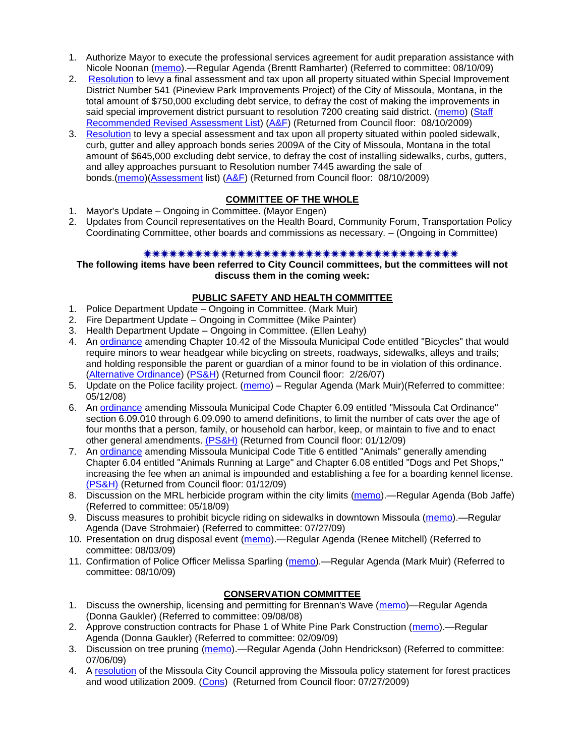- 1. Authorize Mayor to execute the professional services agreement for audit preparation assistance with Nicole Noonan [\(memo\)](http://www.ci.missoula.mt.us/DocumentView.aspx?DID=2000).—Regular Agenda (Brentt Ramharter) (Referred to committee: 08/10/09)
- 2. [Resolution](http://www.ci.missoula.mt.us/DocumentView.aspx?DID=2003) to levy a final assessment and tax upon all property situated within Special Improvement District Number 541 (Pineview Park Improvements Project) of the City of Missoula, Montana, in the total amount of \$750,000 excluding debt service, to defray the cost of making the improvements in said special improvement district pursuant to resolution 7200 creating said district. [\(memo\)](http://www.ci.missoula.mt.us/DocumentView.aspx?DID=1797) (Staff [Recommended Revised Assessment List\)](http://www.ci.missoula.mt.us/DocumentView.aspx?DID=2009) [\(A&F\)](http://www.ci.missoula.mt.us/Archive.aspx?ADID=950) (Returned from Council floor: 08/10/2009)
- 3. [Resolution](http://www.ci.missoula.mt.us/DocumentView.aspx?DID=2004) to levy a special assessment and tax upon all property situated within pooled sidewalk, curb, gutter and alley approach bonds series 2009A of the City of Missoula, Montana in the total amount of \$645,000 excluding debt service, to defray the cost of installing sidewalks, curbs, gutters, and alley approaches pursuant to Resolution number 7445 awarding the sale of bonds.[\(memo\)](http://www.ci.missoula.mt.us/DocumentView.aspx?DID=1798)[\(Assessment](http://www.ci.missoula.mt.us/DocumentView.aspx?DID=2010) list) [\(A&F\)](http://www.ci.missoula.mt.us/Archive.aspx?ADID=950) (Returned from Council floor: 08/10/2009)

# **COMMITTEE OF THE WHOLE**

- 1. Mayor's Update Ongoing in Committee. (Mayor Engen)
- 2. Updates from Council representatives on the Health Board, Community Forum, Transportation Policy Coordinating Committee, other boards and commissions as necessary. – (Ongoing in Committee)

### 

**The following items have been referred to City Council committees, but the committees will not discuss them in the coming week:**

#### **PUBLIC SAFETY AND HEALTH COMMITTEE**

- 1. Police Department Update Ongoing in Committee. (Mark Muir)
- 2. Fire Department Update Ongoing in Committee (Mike Painter)
- 3. Health Department Update Ongoing in Committee. (Ellen Leahy)
- 4. An [ordinance](ftp://ftp.ci.missoula.mt.us/Packets/Council/2007/2007-02-05/07-01-31 Helmet and bikes psh.htm) amending Chapter 10.42 of the Missoula Municipal Code entitled "Bicycles" that would require minors to wear headgear while bicycling on streets, roadways, sidewalks, alleys and trails; and holding responsible the parent or guardian of a minor found to be in violation of this ordinance. [\(Alternative Ordinance\)](ftp://ftp.ci.missoula.mt.us/Packets/Council/2007/2007-02-26/07-02-19_Alternative_Helmet_and_bikes.htm) [\(PS&H\)](ftp://ftp.ci.missoula.mt.us/Packets/Council/2007/2007-02-05/070131psh.pdf) (Returned from Council floor: 2/26/07)
- 5. Update on the Police facility project. [\(memo\)](ftp://ftp.ci.missoula.mt.us/Packets/Council/2008/2008-05-12/Referrals/Buildingpresentationreferral.htm) Regular Agenda (Mark Muir)(Referred to committee: 05/12/08)
- 6. An [ordinance](ftp://ftp.ci.missoula.mt.us/Packets/Council/2008/2008-12-15/2008CatOrdinanceAmendment%5B1%5D.pdf) amending Missoula Municipal Code Chapter 6.09 entitled "Missoula Cat Ordinance" section 6.09.010 through 6.09.090 to amend definitions, to limit the number of cats over the age of four months that a person, family, or household can harbor, keep, or maintain to five and to enact other general amendments. [\(PS&H\)](ftp://ftp.ci.missoula.mt.us/Packets/Council/2008/2008-12-15/081210psh.pdf) (Returned from Council floor: 01/12/09)
- 7. An [ordinance](ftp://ftp.ci.missoula.mt.us/Packets/Council/2008/2008-12-15/DogOrdinance--PSHrevisions.pdf) amending Missoula Municipal Code Title 6 entitled "Animals" generally amending Chapter 6.04 entitled "Animals Running at Large" and Chapter 6.08 entitled "Dogs and Pet Shops," increasing the fee when an animal is impounded and establishing a fee for a boarding kennel license. [\(PS&H\)](ftp://ftp.ci.missoula.mt.us/Packets/Council/2008/2008-12-15/081210psh.pdf) (Returned from Council floor: 01/12/09)
- 8. Discussion on the MRL herbicide program within the city limits [\(memo\)](ftp://ftp.ci.missoula.mt.us/Packets/Council/2009/2009-05-18/Referrals/MRLWeedSprayingReferral.pdf).—Regular Agenda (Bob Jaffe) (Referred to committee: 05/18/09)
- 9. Discuss measures to prohibit bicycle riding on sidewalks in downtown Missoula [\(memo\)](http://www.ci.missoula.mt.us/DocumentView.aspx?DID=1876) Regular Agenda (Dave Strohmaier) (Referred to committee: 07/27/09)
- 10. Presentation on drug disposal event [\(memo\)](http://www.ci.missoula.mt.us/DocumentView.aspx?DID=1959).—Regular Agenda (Renee Mitchell) (Referred to committee: 08/03/09)
- 11. Confirmation of Police Officer Melissa Sparling [\(memo\)](http://www.ci.missoula.mt.us/DocumentView.aspx?DID=1999).—Regular Agenda (Mark Muir) (Referred to committee: 08/10/09)

## **CONSERVATION COMMITTEE**

- 1. Discuss the ownership, licensing and permitting for Brennan's Wave [\(memo\)](ftp://ftp.ci.missoula.mt.us/Packets/Council/2008/2008-09-08/Referrals/ReferralBrennansWaveLicensing.pdf)—Regular Agenda (Donna Gaukler) (Referred to committee: 09/08/08)
- 2. Approve construction contracts for Phase 1 of White Pine Park Construction [\(memo\)](ftp://ftp.ci.missoula.mt.us/Packets/Council/2009/2009-02-09/Referrals/ReferralWhitePinePark(2).pdf).—Regular Agenda (Donna Gaukler) (Referred to committee: 02/09/09)
- 3. Discussion on tree pruning [\(memo\)](http://www.ci.missoula.mt.us/DocumentView.aspx?DID=1691).—Regular Agenda (John Hendrickson) (Referred to committee: 07/06/09)
- 4. A [resolution](http://www.ci.missoula.mt.us/DocumentView.aspx?DID=1859) of the Missoula City Council approving the Missoula policy statement for forest practices and wood utilization 2009. [\(Cons\)](http://www.ci.missoula.mt.us/Archive.aspx?ADID=985) (Returned from Council floor: 07/27/2009)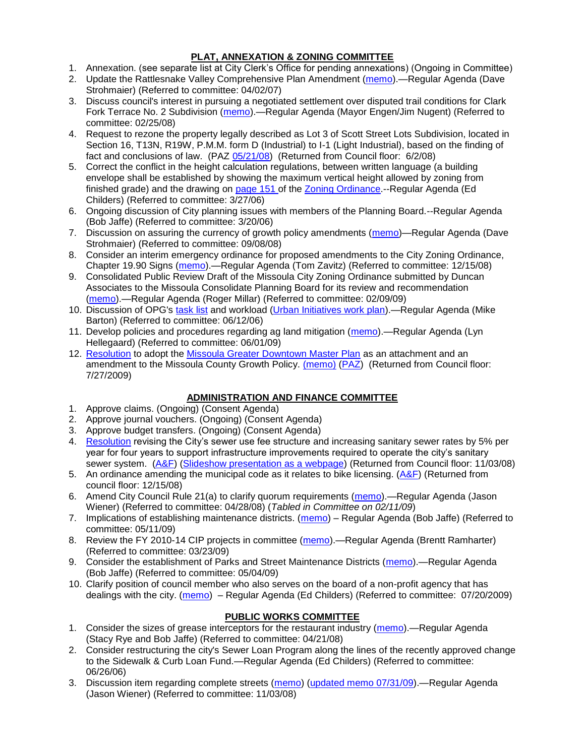## **PLAT, ANNEXATION & ZONING COMMITTEE**

- 1. Annexation. (see separate list at City Clerk's Office for pending annexations) (Ongoing in Committee)
- 2. Update the Rattlesnake Valley Comprehensive Plan Amendment [\(memo\)](ftp://ftp.ci.missoula.mt.us/Packets/Council/2007/2007-04-02/Referrals/Rattlesnake_Plan_Update_referral.pdf).—Regular Agenda (Dave Strohmaier) (Referred to committee: 04/02/07)
- 3. Discuss council's interest in pursuing a negotiated settlement over disputed trail conditions for Clark Fork Terrace No. 2 Subdivision [\(memo\)](ftp://ftp.ci.missoula.mt.us/Packets/Council/2008/2008-02-25/Referrals/Clark_Fork_Terrace_2.pdf).—Regular Agenda (Mayor Engen/Jim Nugent) (Referred to committee: 02/25/08)
- 4. Request to rezone the property legally described as Lot 3 of Scott Street Lots Subdivision, located in Section 16, T13N, R19W, P.M.M. form D (Industrial) to I-1 (Light Industrial), based on the finding of fact and conclusions of law. (PAZ [05/21/08\)](ftp://ftp.ci.missoula.mt.us/Packets/Council/2008/2008-06-02/080521paz.pdf) (Returned from Council floor: 6/2/08)
- 5. Correct the conflict in the height calculation regulations, between written language (a building envelope shall be established by showing the maximum vertical height allowed by zoning from finished grade) and the drawing on [page 151 o](ftp://www.co.missoula.mt.us/opg2/Documents/CurrentRegulations/CityZoningTitle19/CH19.67Hillside.pdf)f the [Zoning Ordinance.](ftp://www.co.missoula.mt.us/opg2/Documents/CurrentRegulations/CityZoningTitle19/CityOrdinanceLP.htm)--Regular Agenda (Ed Childers) (Referred to committee: 3/27/06)
- 6. Ongoing discussion of City planning issues with members of the Planning Board.--Regular Agenda (Bob Jaffe) (Referred to committee: 3/20/06)
- 7. Discussion on assuring the currency of growth policy amendments [\(memo\)](ftp://ftp.ci.missoula.mt.us/Packets/Council/2008/2008-09-08/Referrals/Plan_updates.pdf)—Regular Agenda (Dave Strohmaier) (Referred to committee: 09/08/08)
- 8. Consider an interim emergency ordinance for proposed amendments to the City Zoning Ordinance, Chapter 19.90 Signs [\(memo\)](ftp://ftp.ci.missoula.mt.us/Packets/Council/2008/2008-12-15/Referrals/ElectronicSignOrdinanceMemo.pdf).—Regular Agenda (Tom Zavitz) (Referred to committee: 12/15/08)
- 9. Consolidated Public Review Draft of the Missoula City Zoning Ordinance submitted by Duncan Associates to the Missoula Consolidate Planning Board for its review and recommendation [\(memo\)](ftp://ftp.ci.missoula.mt.us/Packets/Council/2009/2009-02-09/Referrals/CodeRewritetoPBMemo.pdf).—Regular Agenda (Roger Millar) (Referred to committee: 02/09/09)
- 10. Discussion of OPG's [task list](ftp://ftp.ci.missoula.mt.us/Packets/Council/2008/2008-07-07/UITaskList.pdf) and workload [\(Urban Initiatives work plan\)](ftp://ftp.ci.missoula.mt.us/Packets/Council/2006/2006-06-12/Referrals/Urban_Init.htm).—Regular Agenda (Mike Barton) (Referred to committee: 06/12/06)
- 11. Develop policies and procedures regarding ag land mitigation [\(memo\)](http://www.ci.missoula.mt.us/DocumentView.aspx?DID=1272).—Regular Agenda (Lyn Hellegaard) (Referred to committee: 06/01/09)
- 12. [Resolution](http://www.ci.missoula.mt.us/DocumentView.aspx?DID=1996) to adopt the [Missoula Greater Downtown Master Plan](http://www.ci.missoula.mt.us/DocumentView.aspx?DID=1890) as an attachment and an amendment to the Missoula County Growth Policy. [\(memo\)](http://www.ci.missoula.mt.us/DocumentView.aspx?DID=1572) [\(PAZ\)](http://www.ci.missoula.mt.us/Archive.aspx?ADID=790) (Returned from Council floor: 7/27/2009)

# **ADMINISTRATION AND FINANCE COMMITTEE**

- 1. Approve claims. (Ongoing) (Consent Agenda)
- 2. Approve journal vouchers. (Ongoing) (Consent Agenda)
- 3. Approve budget transfers. (Ongoing) (Consent Agenda)
- 4. [Resolution](ftp://ftp.ci.missoula.mt.us/Packets/Council/2008/2008-09-22/referrals/Sewerrateresolution.pdf) revising the City's sewer use fee structure and increasing sanitary sewer rates by 5% per year for four years to support infrastructure improvements required to operate the city's sanitary sewer system. [\(A&F\)](ftp://ftp.ci.missoula.mt.us/Packets/Council/2008/2008-10-06/081001af.pdf) [\(Slideshow presentation as a webpage\)](ftp://ftp.ci.missoula.mt.us/Packets/Council/2008/2008-11-03/2008-11-03SewerUserRateIncrease_files/frame.htm) (Returned from Council floor: 11/03/08)
- 5. An ordinance amending the municipal code as it relates to bike licensing.  $(A\&F)$  (Returned from council floor: 12/15/08)
- 6. Amend City Council Rule 21(a) to clarify quorum requirements [\(memo\)](ftp://ftp.ci.missoula.mt.us/Packets/Council/2008/2008-04-28/Referrals/CouncilRule21aReferral.pdf).—Regular Agenda (Jason Wiener) (Referred to committee: 04/28/08) (*Tabled in Committee on 02/11/09*)
- 7. Implications of establishing maintenance districts. [\(memo\)](ftp://ftp.ci.missoula.mt.us/Packets/Council/2009/2009-05-11/Referrals/MaintenanceDistricts.pdf) Regular Agenda (Bob Jaffe) (Referred to committee: 05/11/09)
- 8. Review the FY 2010-14 CIP projects in committee [\(memo\)](ftp://ftp.ci.missoula.mt.us/Packets/Council/2009/2009-03-23/Referrals/RefAFCIPBudgetReviewFY2010-2014CIP.pdf) Regular Agenda (Brentt Ramharter) (Referred to committee: 03/23/09)
- 9. Consider the establishment of Parks and Street Maintenance Districts [\(memo\)](ftp://ftp.ci.missoula.mt.us/Packets/Council/2009/2009-05-04/Referrals/MaintenanceDistricts.pdf).—Regular Agenda (Bob Jaffe) (Referred to committee: 05/04/09)
- 10. Clarify position of council member who also serves on the board of a non-profit agency that has dealings with the city. [\(memo\)](http://www.ci.missoula.mt.us/DocumentView.aspx?DID=1840) – Regular Agenda (Ed Childers) (Referred to committee: 07/20/2009)

# **PUBLIC WORKS COMMITTEE**

- 1. Consider the sizes of grease interceptors for the restaurant industry [\(memo\)](ftp://ftp.ci.missoula.mt.us/Packets/Council/2008/2008-04-21/Referrals/Industrial_waste_restaurants.pdf).—Regular Agenda (Stacy Rye and Bob Jaffe) (Referred to committee: 04/21/08)
- 2. Consider restructuring the city's Sewer Loan Program along the lines of the recently approved change to the Sidewalk & Curb Loan Fund.—Regular Agenda (Ed Childers) (Referred to committee: 06/26/06)
- 3. Discussion item regarding complete streets [\(memo\)](ftp://ftp.ci.missoula.mt.us/Packets/Council/2008/2008-11-03/Referrals/completestreetsreferral.pdf) [\(updated memo 07/31/09\)](http://www.ci.missoula.mt.us/DocumentView.aspx?DID=1958).—Regular Agenda (Jason Wiener) (Referred to committee: 11/03/08)